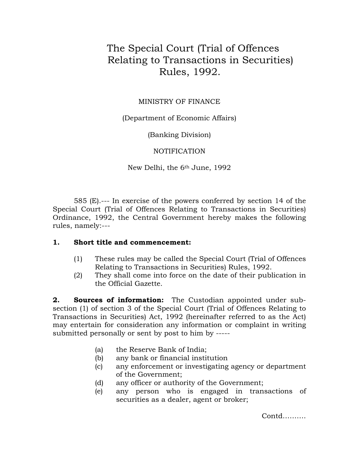## The Special Court (Trial of Offences Relating to Transactions in Securities) Rules, 1992.

## MINISTRY OF FINANCE

(Department of Economic Affairs)

(Banking Division)

NOTIFICATION

New Delhi, the 6th June, 1992

585 (E).--- In exercise of the powers conferred by section 14 of the Special Court (Trial of Offences Relating to Transactions in Securities) Ordinance, 1992, the Central Government hereby makes the following rules, namely:---

## **1. Short title and commencement:**

- (1) These rules may be called the Special Court (Trial of Offences Relating to Transactions in Securities) Rules, 1992.
- (2) They shall come into force on the date of their publication in the Official Gazette.

**2. Sources of information:** The Custodian appointed under subsection (1) of section 3 of the Special Court (Trial of Offences Relating to Transactions in Securities) Act, 1992 (hereinafter referred to as the Act) may entertain for consideration any information or complaint in writing submitted personally or sent by post to him by -----

- (a) the Reserve Bank of India;
- (b) any bank or financial institution
- (c) any enforcement or investigating agency or department of the Government;
- (d) any officer or authority of the Government;
- (e) any person who is engaged in transactions of securities as a dealer, agent or broker;

Contd……….